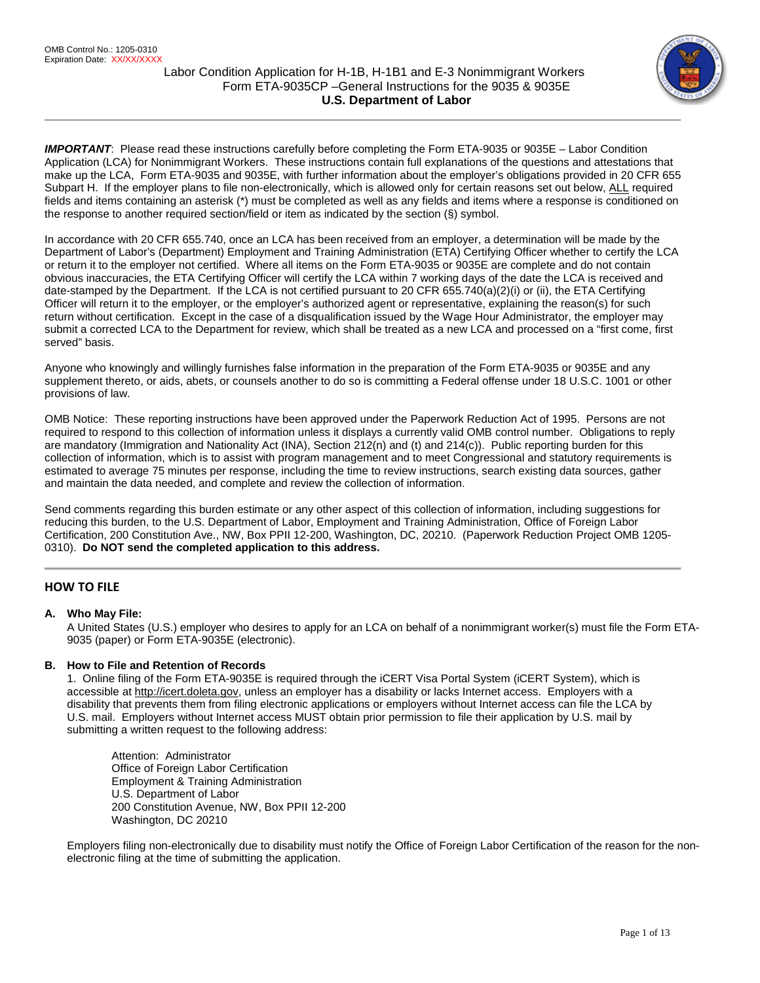

IMPORTANT: Please read these instructions carefully before completing the Form ETA-9035 or 9035E – Labor Condition Application (LCA) for Nonimmigrant Workers. These instructions contain full explanations of the questions and attestations that make up the LCA, Form ETA-9035 and 9035E, with further information about the employer's obligations provided in 20 CFR 655 Subpart H. If the employer plans to file non-electronically, which is allowed only for certain reasons set out below, ALL required fields and items containing an asterisk (\*) must be completed as well as any fields and items where a response is conditioned on the response to another required section/field or item as indicated by the section (§) symbol.

In accordance with 20 CFR 655.740, once an LCA has been received from an employer, a determination will be made by the Department of Labor's (Department) Employment and Training Administration (ETA) Certifying Officer whether to certify the LCA or return it to the employer not certified. Where all items on the Form ETA-9035 or 9035E are complete and do not contain obvious inaccuracies, the ETA Certifying Officer will certify the LCA within 7 working days of the date the LCA is received and date-stamped by the Department. If the LCA is not certified pursuant to 20 CFR 655.740(a)(2)(i) or (ii), the ETA Certifying Officer will return it to the employer, or the employer's authorized agent or representative, explaining the reason(s) for such return without certification. Except in the case of a disqualification issued by the Wage Hour Administrator, the employer may submit a corrected LCA to the Department for review, which shall be treated as a new LCA and processed on a "first come, first served" basis.

Anyone who knowingly and willingly furnishes false information in the preparation of the Form ETA-9035 or 9035E and any supplement thereto, or aids, abets, or counsels another to do so is committing a Federal offense under 18 U.S.C. 1001 or other provisions of law.

OMB Notice: These reporting instructions have been approved under the Paperwork Reduction Act of 1995. Persons are not required to respond to this collection of information unless it displays a currently valid OMB control number. Obligations to reply are mandatory (Immigration and Nationality Act (INA), Section 212(n) and (t) and 214(c)). Public reporting burden for this collection of information, which is to assist with program management and to meet Congressional and statutory requirements is estimated to average 75 minutes per response, including the time to review instructions, search existing data sources, gather and maintain the data needed, and complete and review the collection of information.

Send comments regarding this burden estimate or any other aspect of this collection of information, including suggestions for reducing this burden, to the U.S. Department of Labor, Employment and Training Administration, Office of Foreign Labor Certification, 200 Constitution Ave., NW, Box PPII 12-200, Washington, DC, 20210. (Paperwork Reduction Project OMB 1205- 0310). **Do NOT send the completed application to this address.**

# **HOW TO FILE**

# **A. Who May File:**

A United States (U.S.) employer who desires to apply for an LCA on behalf of a nonimmigrant worker(s) must file the Form ETA-9035 (paper) or Form ETA-9035E (electronic).

## **B. How to File and Retention of Records**

1. Online filing of the Form ETA-9035E is required through the iCERT Visa Portal System (iCERT System), which is accessible a[t http://icert.doleta.gov,](http://icert.doleta.gov/) unless an employer has a disability or lacks Internet access. Employers with a disability that prevents them from filing electronic applications or employers without Internet access can file the LCA by U.S. mail. Employers without Internet access MUST obtain prior permission to file their application by U.S. mail by submitting a written request to the following address:

Attention: Administrator Office of Foreign Labor Certification Employment & Training Administration U.S. Department of Labor 200 Constitution Avenue, NW, Box PPII 12-200 Washington, DC 20210

Employers filing non-electronically due to disability must notify the Office of Foreign Labor Certification of the reason for the nonelectronic filing at the time of submitting the application.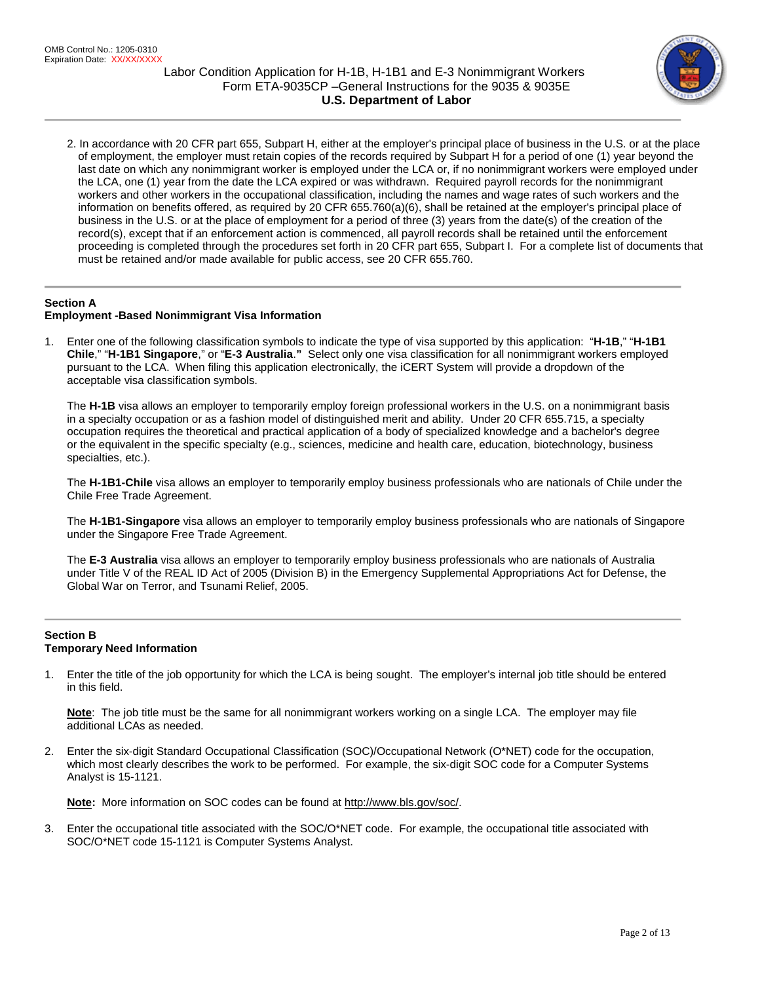

2. In accordance with 20 CFR part 655, Subpart H, either at the employer's principal place of business in the U.S. or at the place of employment, the employer must retain copies of the records required by Subpart H for a period of one (1) year beyond the last date on which any nonimmigrant worker is employed under the LCA or, if no nonimmigrant workers were employed under the LCA, one (1) year from the date the LCA expired or was withdrawn. Required payroll records for the nonimmigrant workers and other workers in the occupational classification, including the names and wage rates of such workers and the information on benefits offered, as required by 20 CFR 655.760(a)(6), shall be retained at the employer's principal place of business in the U.S. or at the place of employment for a period of three (3) years from the date(s) of the creation of the record(s), except that if an enforcement action is commenced, all payroll records shall be retained until the enforcement proceeding is completed through the procedures set forth in 20 CFR part 655, Subpart I. For a complete list of documents that must be retained and/or made available for public access, see 20 CFR 655.760.

# **Section A**

## **Employment -Based Nonimmigrant Visa Information**

1. Enter one of the following classification symbols to indicate the type of visa supported by this application: "**H-1B**," "**H-1B1 Chile**," "**H-1B1 Singapore**," or "**E-3 Australia**.**"** Select only one visa classification for all nonimmigrant workers employed pursuant to the LCA. When filing this application electronically, the iCERT System will provide a dropdown of the acceptable visa classification symbols.

The **H-1B** visa allows an employer to temporarily employ foreign professional workers in the U.S. on a nonimmigrant basis in a specialty occupation or as a fashion model of distinguished merit and ability. Under 20 CFR 655.715, a specialty occupation requires the theoretical and practical application of a body of specialized knowledge and a bachelor's degree or the equivalent in the specific specialty (e.g., sciences, medicine and health care, education, biotechnology, business specialties, etc.).

The **H-1B1-Chile** visa allows an employer to temporarily employ business professionals who are nationals of Chile under the Chile Free Trade Agreement.

The **H-1B1-Singapore** visa allows an employer to temporarily employ business professionals who are nationals of Singapore under the Singapore Free Trade Agreement.

The **E-3 Australia** visa allows an employer to temporarily employ business professionals who are nationals of Australia under Title V of the REAL ID Act of 2005 (Division B) in the Emergency Supplemental Appropriations Act for Defense, the Global War on Terror, and Tsunami Relief, 2005.

## **Section B Temporary Need Information**

1. Enter the title of the job opportunity for which the LCA is being sought. The employer's internal job title should be entered in this field.

**Note**: The job title must be the same for all nonimmigrant workers working on a single LCA. The employer may file additional LCAs as needed.

2. Enter the six-digit Standard Occupational Classification (SOC)/Occupational Network (O\*NET) code for the occupation, which most clearly describes the work to be performed. For example, the six-digit SOC code for a Computer Systems Analyst is 15-1121.

**Note:** More information on SOC codes can be found a[t http://www.bls.gov/soc/.](http://www.bls.gov/soc/)

3. Enter the occupational title associated with the SOC/O\*NET code. For example, the occupational title associated with SOC/O\*NET code 15-1121 is Computer Systems Analyst.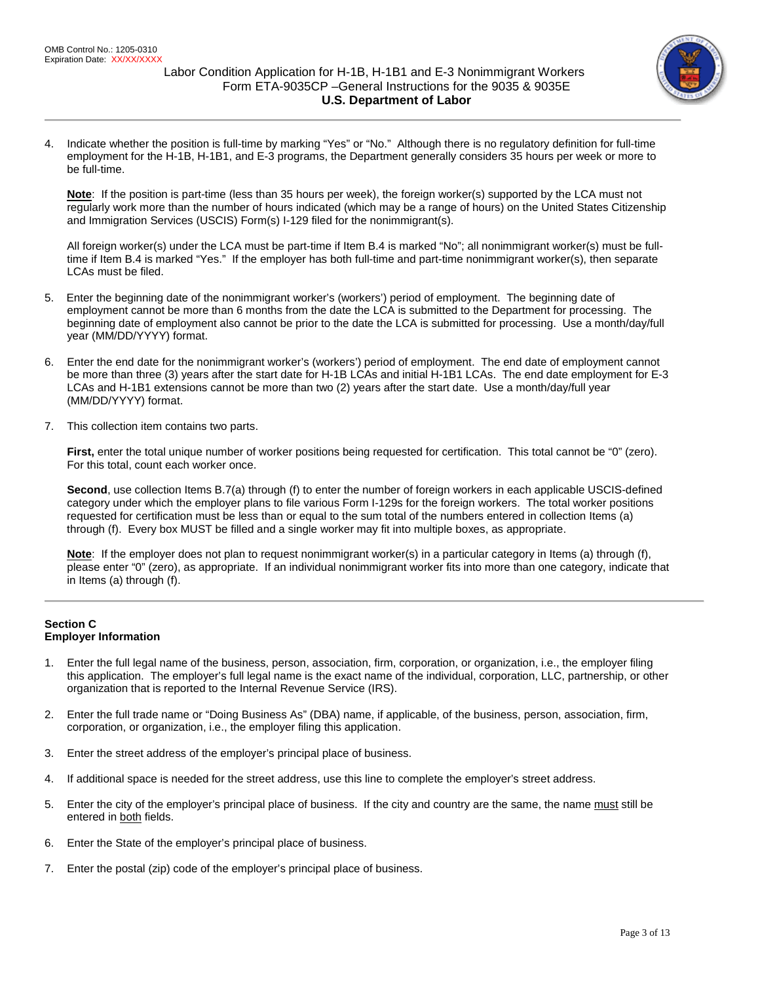

4. Indicate whether the position is full-time by marking "Yes" or "No." Although there is no regulatory definition for full-time employment for the H-1B, H-1B1, and E-3 programs, the Department generally considers 35 hours per week or more to be full-time.

**Note**: If the position is part-time (less than 35 hours per week), the foreign worker(s) supported by the LCA must not regularly work more than the number of hours indicated (which may be a range of hours) on the United States Citizenship and Immigration Services (USCIS) Form(s) I-129 filed for the nonimmigrant(s).

All foreign worker(s) under the LCA must be part-time if Item B.4 is marked "No"; all nonimmigrant worker(s) must be fulltime if Item B.4 is marked "Yes." If the employer has both full-time and part-time nonimmigrant worker(s), then separate LCAs must be filed.

- 5. Enter the beginning date of the nonimmigrant worker's (workers') period of employment. The beginning date of employment cannot be more than 6 months from the date the LCA is submitted to the Department for processing. The beginning date of employment also cannot be prior to the date the LCA is submitted for processing. Use a month/day/full year (MM/DD/YYYY) format.
- 6. Enter the end date for the nonimmigrant worker's (workers') period of employment. The end date of employment cannot be more than three (3) years after the start date for H-1B LCAs and initial H-1B1 LCAs. The end date employment for E-3 LCAs and H-1B1 extensions cannot be more than two (2) years after the start date. Use a month/day/full year (MM/DD/YYYY) format.
- 7. This collection item contains two parts.

**First,** enter the total unique number of worker positions being requested for certification. This total cannot be "0" (zero). For this total, count each worker once.

**Second**, use collection Items B.7(a) through (f) to enter the number of foreign workers in each applicable USCIS-defined category under which the employer plans to file various Form I-129s for the foreign workers. The total worker positions requested for certification must be less than or equal to the sum total of the numbers entered in collection Items (a) through (f). Every box MUST be filled and a single worker may fit into multiple boxes, as appropriate.

**Note**: If the employer does not plan to request nonimmigrant worker(s) in a particular category in Items (a) through (f), please enter "0" (zero), as appropriate. If an individual nonimmigrant worker fits into more than one category, indicate that in Items (a) through (f).

## **Section C Employer Information**

- 1. Enter the full legal name of the business, person, association, firm, corporation, or organization, i.e., the employer filing this application. The employer's full legal name is the exact name of the individual, corporation, LLC, partnership, or other organization that is reported to the Internal Revenue Service (IRS).
- 2. Enter the full trade name or "Doing Business As" (DBA) name, if applicable, of the business, person, association, firm, corporation, or organization, i.e., the employer filing this application.
- 3. Enter the street address of the employer's principal place of business.
- 4. If additional space is needed for the street address, use this line to complete the employer's street address.
- 5. Enter the city of the employer's principal place of business. If the city and country are the same, the name must still be entered in both fields.
- 6. Enter the State of the employer's principal place of business.
- 7. Enter the postal (zip) code of the employer's principal place of business.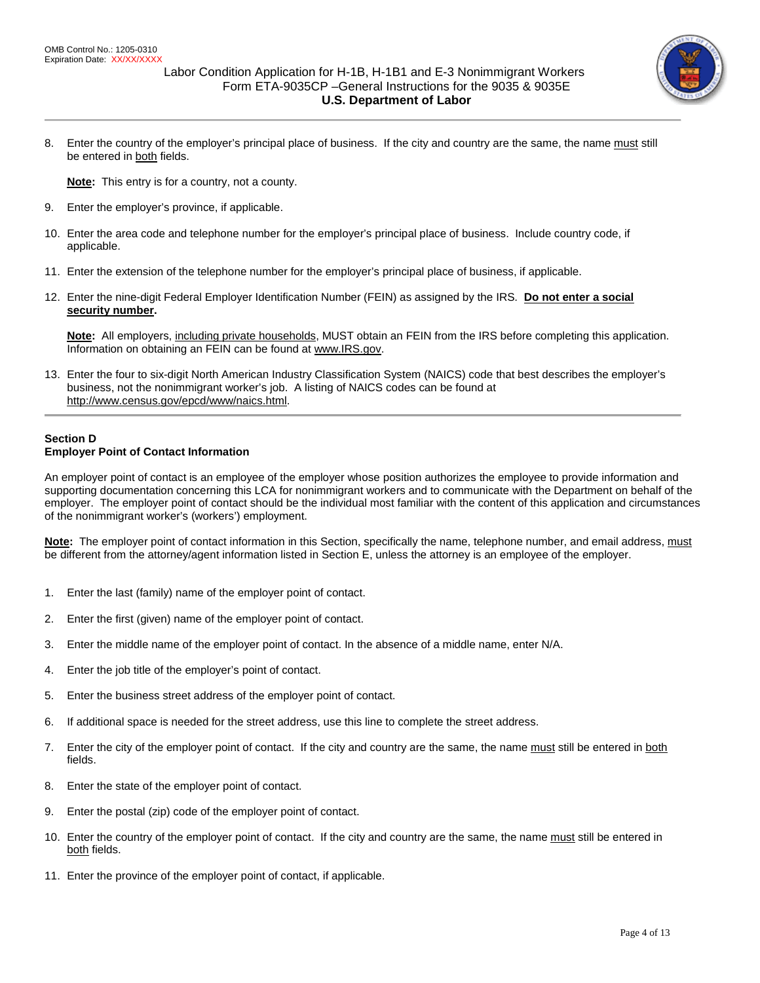

8. Enter the country of the employer's principal place of business. If the city and country are the same, the name must still be entered in both fields.

**Note:** This entry is for a country, not a county.

- 9. Enter the employer's province, if applicable.
- 10. Enter the area code and telephone number for the employer's principal place of business. Include country code, if applicable.
- 11. Enter the extension of the telephone number for the employer's principal place of business, if applicable.
- 12. Enter the nine-digit Federal Employer Identification Number (FEIN) as assigned by the IRS. **Do not enter a social security number.**

**Note:** All employers, including private households, MUST obtain an FEIN from the IRS before completing this application. Information on obtaining an FEIN can be found at [www.IRS.gov.](http://www.irs.gov/)

13. Enter the four to six-digit North American Industry Classification System (NAICS) code that best describes the employer's business, not the nonimmigrant worker's job. A listing of NAICS codes can be found at [http://www.census.gov/epcd/www/naics.html.](http://www.census.gov/epcd/www/naics.html)

## **Section D Employer Point of Contact Information**

An employer point of contact is an employee of the employer whose position authorizes the employee to provide information and supporting documentation concerning this LCA for nonimmigrant workers and to communicate with the Department on behalf of the employer. The employer point of contact should be the individual most familiar with the content of this application and circumstances of the nonimmigrant worker's (workers') employment.

**Note:**The employer point of contact information in this Section, specifically the name, telephone number, and email address, must be different from the attorney/agent information listed in Section E, unless the attorney is an employee of the employer.

- 1. Enter the last (family) name of the employer point of contact.
- 2. Enter the first (given) name of the employer point of contact.
- 3. Enter the middle name of the employer point of contact. In the absence of a middle name, enter N/A.
- 4. Enter the job title of the employer's point of contact.
- 5. Enter the business street address of the employer point of contact.
- 6. If additional space is needed for the street address, use this line to complete the street address.
- 7. Enter the city of the employer point of contact. If the city and country are the same, the name must still be entered in both fields.
- 8. Enter the state of the employer point of contact.
- 9. Enter the postal (zip) code of the employer point of contact.
- 10. Enter the country of the employer point of contact. If the city and country are the same, the name must still be entered in both fields.
- 11. Enter the province of the employer point of contact, if applicable.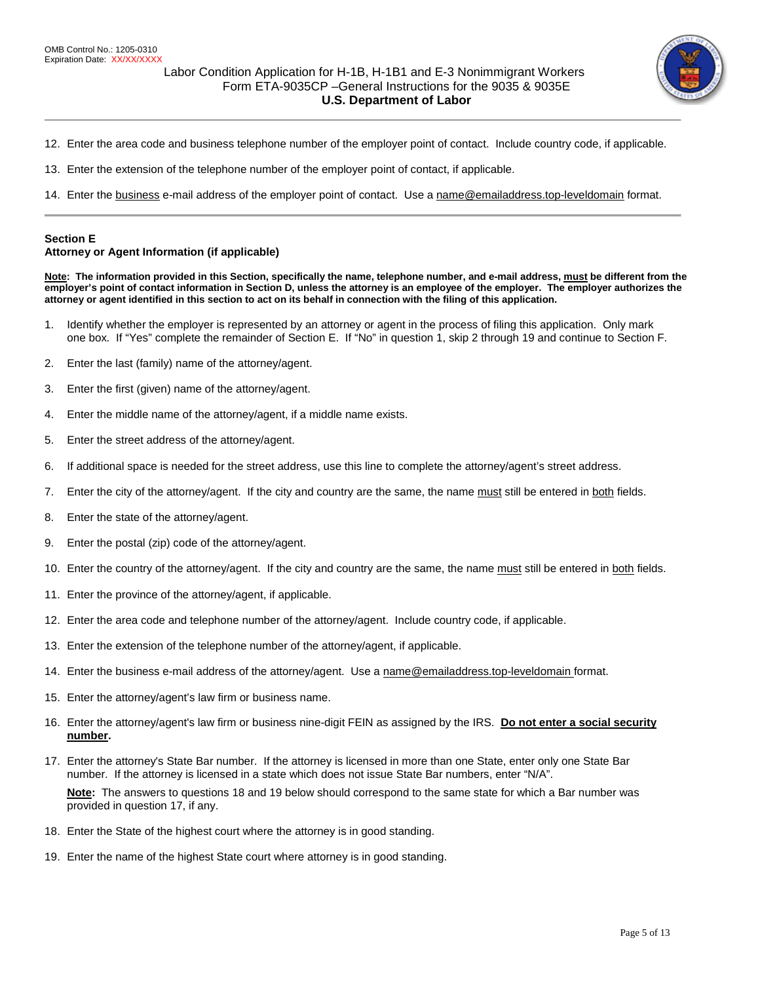

- 12. Enter the area code and business telephone number of the employer point of contact. Include country code, if applicable.
- 13. Enter the extension of the telephone number of the employer point of contact, if applicable.
- 14. Enter the business e-mail address of the employer point of contact. Use [a name@emailaddress.top-leveldomain](mailto:name@emailaddress.top-leveldomain) format.

### **Section E**

### **Attorney or Agent Information (if applicable)**

**Note: The information provided in this Section, specifically the name, telephone number, and e-mail address, must be different from the employer's point of contact information in Section D, unless the attorney is an employee of the employer. The employer authorizes the attorney or agent identified in this section to act on its behalf in connection with the filing of this application.**

- 1. Identify whether the employer is represented by an attorney or agent in the process of filing this application. Only mark one box. If "Yes" complete the remainder of Section E. If "No" in question 1, skip 2 through 19 and continue to Section F.
- 2. Enter the last (family) name of the attorney/agent.
- 3. Enter the first (given) name of the attorney/agent.
- 4. Enter the middle name of the attorney/agent, if a middle name exists.
- 5. Enter the street address of the attorney/agent.
- 6. If additional space is needed for the street address, use this line to complete the attorney/agent's street address.
- 7. Enter the city of the attorney/agent. If the city and country are the same, the name must still be entered in both fields.
- 8. Enter the state of the attorney/agent.
- 9. Enter the postal (zip) code of the attorney/agent.
- 10. Enter the country of the attorney/agent. If the city and country are the same, the name must still be entered in both fields.
- 11. Enter the province of the attorney/agent, if applicable.
- 12. Enter the area code and telephone number of the attorney/agent. Include country code, if applicable.
- 13. Enter the extension of the telephone number of the attorney/agent, if applicable.
- 14. Enter the business e-mail address of the attorney/agent. Use [a name@emailaddress.top-leveldomain](mailto:name@emailaddress.top-leveldomain) format.
- 15. Enter the attorney/agent's law firm or business name.
- 16. Enter the attorney/agent's law firm or business nine-digit FEIN as assigned by the IRS. **Do not enter a social security number.**
- 17. Enter the attorney's State Bar number. If the attorney is licensed in more than one State, enter only one State Bar number. If the attorney is licensed in a state which does not issue State Bar numbers, enter "N/A".

**Note:** The answers to questions 18 and 19 below should correspond to the same state for which a Bar number was provided in question 17, if any.

- 18. Enter the State of the highest court where the attorney is in good standing.
- 19. Enter the name of the highest State court where attorney is in good standing.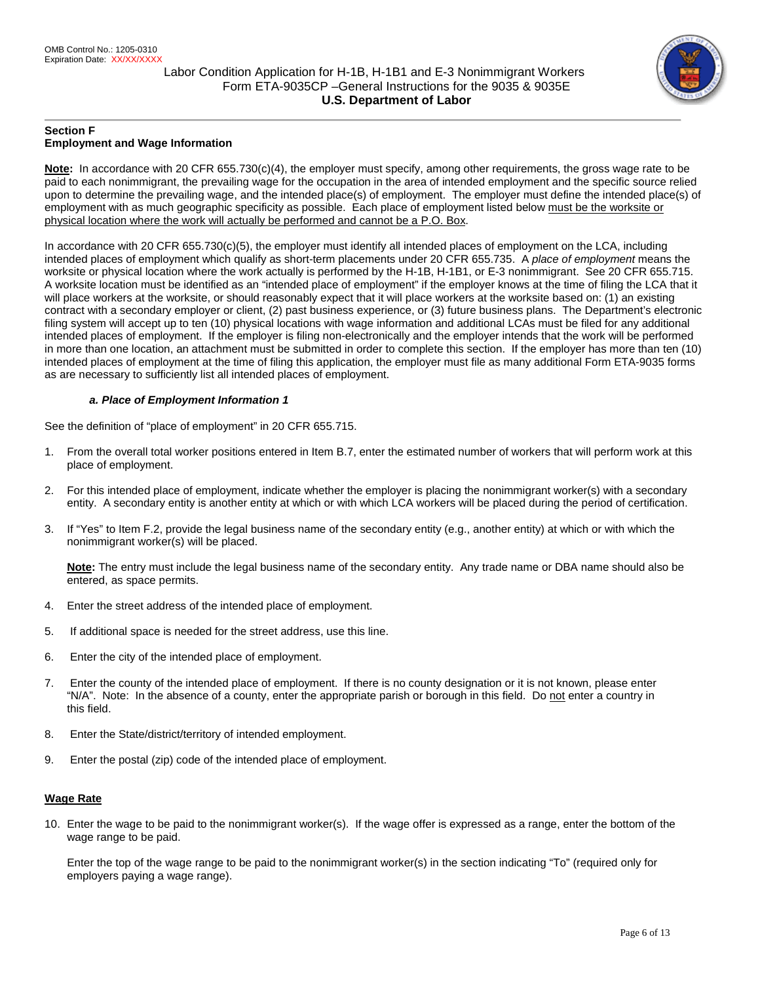

## **Section F Employment and Wage Information**

**Note:** In accordance with 20 CFR 655.730(c)(4), the employer must specify, among other requirements, the gross wage rate to be paid to each nonimmigrant, the prevailing wage for the occupation in the area of intended employment and the specific source relied upon to determine the prevailing wage, and the intended place(s) of employment. The employer must define the intended place(s) of employment with as much geographic specificity as possible. Each place of employment listed below must be the worksite or physical location where the work will actually be performed and cannot be a P.O. Box.

In accordance with 20 CFR 655.730(c)(5), the employer must identify all intended places of employment on the LCA, including intended places of employment which qualify as short-term placements under 20 CFR 655.735. A *place of employment* means the worksite or physical location where the work actually is performed by the H-1B, H-1B1, or E-3 nonimmigrant. See 20 CFR 655.715. A worksite location must be identified as an "intended place of employment" if the employer knows at the time of filing the LCA that it will place workers at the worksite, or should reasonably expect that it will place workers at the worksite based on: (1) an existing contract with a secondary employer or client, (2) past business experience, or (3) future business plans. The Department's electronic filing system will accept up to ten (10) physical locations with wage information and additional LCAs must be filed for any additional intended places of employment. If the employer is filing non-electronically and the employer intends that the work will be performed in more than one location, an attachment must be submitted in order to complete this section.If the employer has more than ten (10) intended places of employment at the time of filing this application, the employer must file as many additional Form ETA-9035 forms as are necessary to sufficiently list all intended places of employment.

# *a. Place of Employment Information 1*

See the definition of "place of employment" in 20 CFR 655.715.

- 1. From the overall total worker positions entered in Item B.7, enter the estimated number of workers that will perform work at this place of employment.
- 2. For this intended place of employment, indicate whether the employer is placing the nonimmigrant worker(s) with a secondary entity. A secondary entity is another entity at which or with which LCA workers will be placed during the period of certification.
- 3. If "Yes" to Item F.2, provide the legal business name of the secondary entity (e.g., another entity) at which or with which the nonimmigrant worker(s) will be placed.

**Note:** The entry must include the legal business name of the secondary entity. Any trade name or DBA name should also be entered, as space permits.

- 4. Enter the street address of the intended place of employment.
- 5. If additional space is needed for the street address, use this line.
- 6. Enter the city of the intended place of employment.
- 7. Enter the county of the intended place of employment. If there is no county designation or it is not known, please enter "N/A". Note: In the absence of a county, enter the appropriate parish or borough in this field. Do not enter a country in this field.
- 8. Enter the State/district/territory of intended employment.
- 9. Enter the postal (zip) code of the intended place of employment.

# **Wage Rate**

10. Enter the wage to be paid to the nonimmigrant worker(s). If the wage offer is expressed as a range, enter the bottom of the wage range to be paid.

Enter the top of the wage range to be paid to the nonimmigrant worker(s) in the section indicating "To" (required only for employers paying a wage range).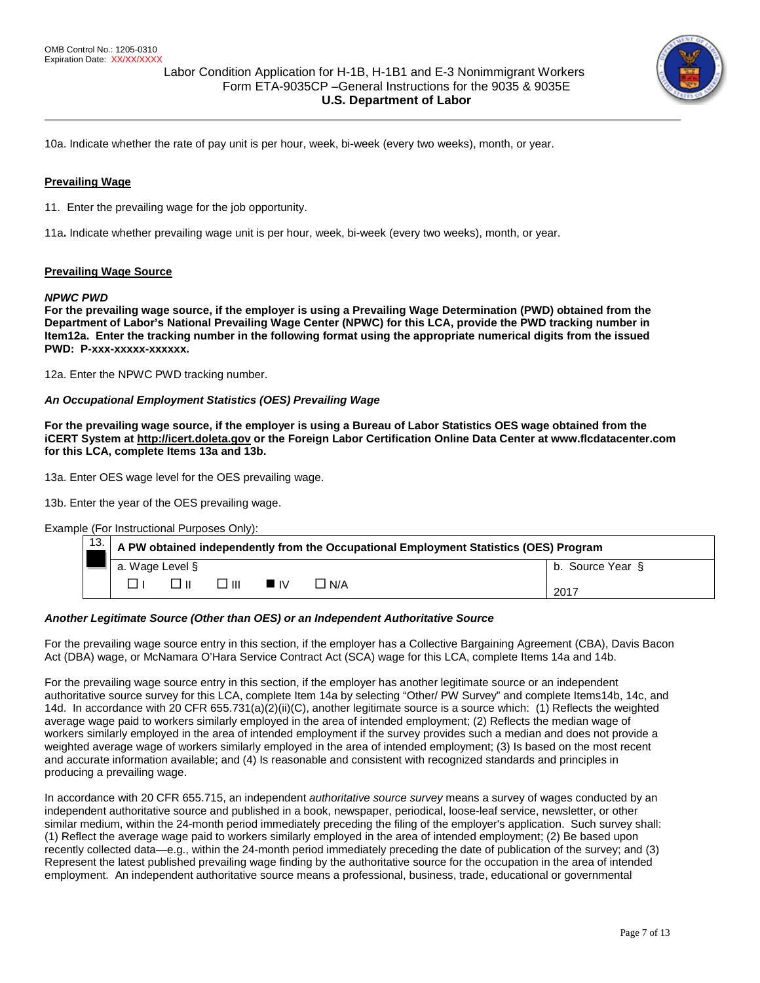

10a. Indicate whether the rate of pay unit is per hour, week, bi-week (every two weeks), month, or year.

## **Prevailing Wage**

11. Enter the prevailing wage for the job opportunity.

11a**.** Indicate whether prevailing wage unit is per hour, week, bi-week (every two weeks), month, or year.

### **Prevailing Wage Source**

### *NPWC PWD*

**For the prevailing wage source, if the employer is using a Prevailing Wage Determination (PWD) obtained from the Department of Labor's National Prevailing Wage Center (NPWC) for this LCA, provide the PWD tracking number in Item12a. Enter the tracking number in the following format using the appropriate numerical digits from the issued**  PWD: P-xxx-xxxxx-xxxxxx.

12a. Enter the NPWC PWD tracking number.

### *An Occupational Employment Statistics (OES) Prevailing Wage*

**For the prevailing wage source, if the employer is using a Bureau of Labor Statistics OES wage obtained from the iCERT System a[t http://icert.doleta.gov](http://icert.doleta.gov/) or the Foreign Labor Certification Online Data Center at www.flcdatacenter.com for this LCA, complete Items 13a and 13b.** 

13a. Enter OES wage level for the OES prevailing wage.

13b. Enter the year of the OES prevailing wage.

Example (For Instructional Purposes Only):

| 13. | A PW obtained independently from the Occupational Employment Statistics (OES) Program |  |               |                   |       |                  |
|-----|---------------------------------------------------------------------------------------|--|---------------|-------------------|-------|------------------|
|     | a. Wage Level §                                                                       |  |               |                   |       | b. Source Year § |
|     |                                                                                       |  | $\Box$ $\Box$ | $\blacksquare$ IV | ∟ N/A | 2017             |

#### *Another Legitimate Source (Other than OES) or an Independent Authoritative Source*

For the prevailing wage source entry in this section, if the employer has a Collective Bargaining Agreement (CBA), Davis Bacon Act (DBA) wage, or McNamara O'Hara Service Contract Act (SCA) wage for this LCA, complete Items 14a and 14b.

For the prevailing wage source entry in this section, if the employer has another legitimate source or an independent authoritative source survey for this LCA, complete Item 14a by selecting "Other/ PW Survey" and complete Items14b, 14c, and 14d. In accordance with 20 CFR 655.731(a)(2)(ii)(C), another legitimate source is a source which: (1) Reflects the weighted average wage paid to workers similarly employed in the area of intended employment; (2) Reflects the median wage of workers similarly employed in the area of intended employment if the survey provides such a median and does not provide a weighted average wage of workers similarly employed in the area of intended employment; (3) Is based on the most recent and accurate information available; and (4) Is reasonable and consistent with recognized standards and principles in producing a prevailing wage.

In accordance with 20 CFR 655.715, an independent *authoritative source survey* means a survey of wages conducted by an independent authoritative source and published in a book, newspaper, periodical, loose-leaf service, newsletter, or other similar medium, within the 24-month period immediately preceding the filing of the employer's application. Such survey shall: (1) Reflect the average wage paid to workers similarly employed in the area of intended employment; (2) Be based upon recently collected data—e.g., within the 24-month period immediately preceding the date of publication of the survey; and (3) Represent the latest published prevailing wage finding by the authoritative source for the occupation in the area of intended employment. An independent authoritative source means a professional, business, trade, educational or governmental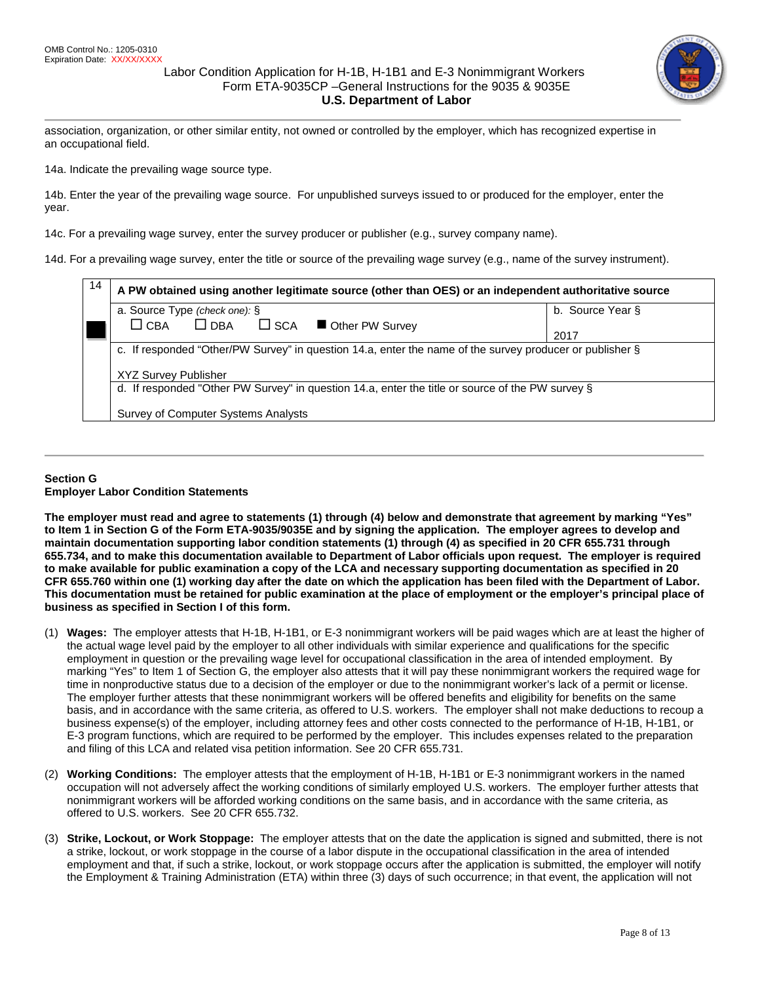

association, organization, or other similar entity, not owned or controlled by the employer, which has recognized expertise in an occupational field.

14a. Indicate the prevailing wage source type.

14b. Enter the year of the prevailing wage source. For unpublished surveys issued to or produced for the employer, enter the year.

14c. For a prevailing wage survey, enter the survey producer or publisher (e.g., survey company name).

14d. For a prevailing wage survey, enter the title or source of the prevailing wage survey (e.g., name of the survey instrument).

| 14 | A PW obtained using another legitimate source (other than OES) or an independent authoritative source    |                  |  |  |  |  |
|----|----------------------------------------------------------------------------------------------------------|------------------|--|--|--|--|
|    | a. Source Type (check one): §                                                                            | b. Source Year § |  |  |  |  |
|    | $\Box$ DBA<br>$\Box$ CBA<br>$\square$ SCA<br>Other PW Survey                                             |                  |  |  |  |  |
|    |                                                                                                          | 2017             |  |  |  |  |
|    | c. If responded "Other/PW Survey" in question 14.a, enter the name of the survey producer or publisher § |                  |  |  |  |  |
|    | <b>XYZ Survey Publisher</b>                                                                              |                  |  |  |  |  |
|    | d. If responded "Other PW Survey" in question 14.a, enter the title or source of the PW survey §         |                  |  |  |  |  |
|    | Survey of Computer Systems Analysts                                                                      |                  |  |  |  |  |

## **Section G Employer Labor Condition Statements**

**The employer must read and agree to statements (1) through (4) below and demonstrate that agreement by marking "Yes" to Item 1 in Section G of the Form ETA-9035/9035E and by signing the application. The employer agrees to develop and maintain documentation supporting labor condition statements (1) through (4) as specified in 20 CFR 655.731 through 655.734, and to make this documentation available to Department of Labor officials upon request. The employer is required to make available for public examination a copy of the LCA and necessary supporting documentation as specified in 20 CFR 655.760 within one (1) working day after the date on which the application has been filed with the Department of Labor. This documentation must be retained for public examination at the place of employment or the employer's principal place of business as specified in Section I of this form.**

- (1) **Wages:** The employer attests that H-1B, H-1B1, or E-3 nonimmigrant workers will be paid wages which are at least the higher of the actual wage level paid by the employer to all other individuals with similar experience and qualifications for the specific employment in question or the prevailing wage level for occupational classification in the area of intended employment. By marking "Yes" to Item 1 of Section G, the employer also attests that it will pay these nonimmigrant workers the required wage for time in nonproductive status due to a decision of the employer or due to the nonimmigrant worker's lack of a permit or license. The employer further attests that these nonimmigrant workers will be offered benefits and eligibility for benefits on the same basis, and in accordance with the same criteria, as offered to U.S. workers. The employer shall not make deductions to recoup a business expense(s) of the employer, including attorney fees and other costs connected to the performance of H-1B, H-1B1, or E-3 program functions, which are required to be performed by the employer. This includes expenses related to the preparation and filing of this LCA and related visa petition information. See 20 CFR 655.731.
- (2) **Working Conditions:** The employer attests that the employment of H-1B, H-1B1 or E-3 nonimmigrant workers in the named occupation will not adversely affect the working conditions of similarly employed U.S. workers. The employer further attests that nonimmigrant workers will be afforded working conditions on the same basis, and in accordance with the same criteria, as offered to U.S. workers. See 20 CFR 655.732.
- (3) **Strike, Lockout, or Work Stoppage:** The employer attests that on the date the application is signed and submitted, there is not a strike, lockout, or work stoppage in the course of a labor dispute in the occupational classification in the area of intended employment and that, if such a strike, lockout, or work stoppage occurs after the application is submitted, the employer will notify the Employment & Training Administration (ETA) within three (3) days of such occurrence; in that event, the application will not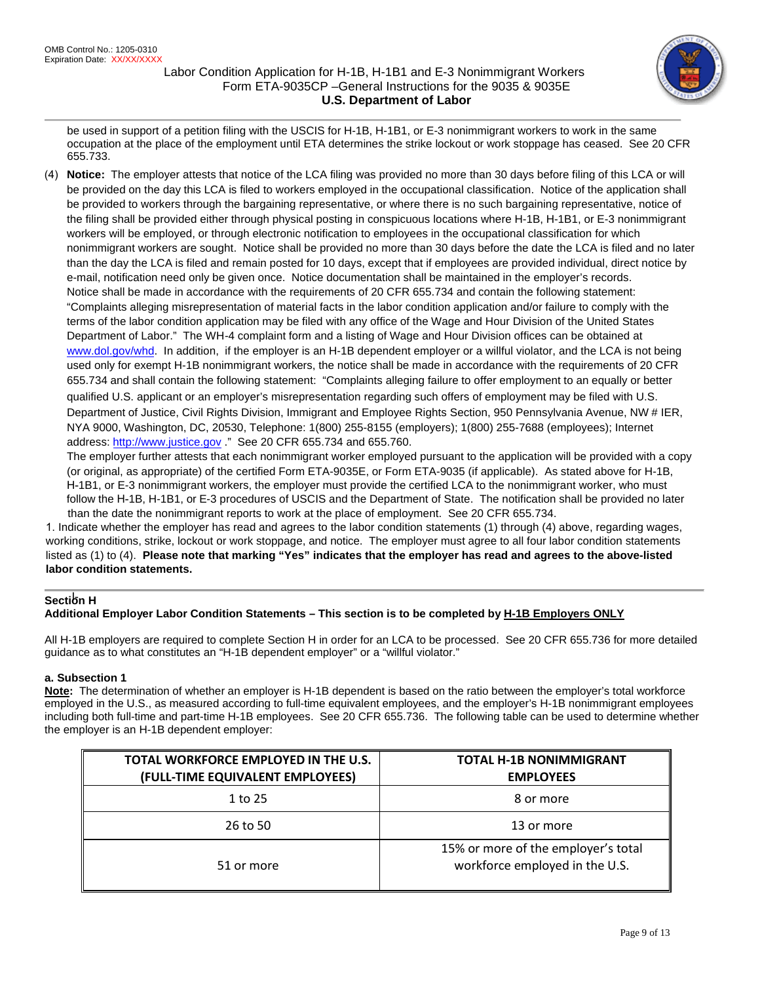

be used in support of a petition filing with the USCIS for H-1B, H-1B1, or E-3 nonimmigrant workers to work in the same occupation at the place of the employment until ETA determines the strike lockout or work stoppage has ceased. See 20 CFR 655.733.

(4) **Notice:** The employer attests that notice of the LCA filing was provided no more than 30 days before filing of this LCA or will be provided on the day this LCA is filed to workers employed in the occupational classification. Notice of the application shall be provided to workers through the bargaining representative, or where there is no such bargaining representative, notice of the filing shall be provided either through physical posting in conspicuous locations where H-1B, H-1B1, or E-3 nonimmigrant workers will be employed, or through electronic notification to employees in the occupational classification for which nonimmigrant workers are sought. Notice shall be provided no more than 30 days before the date the LCA is filed and no later than the day the LCA is filed and remain posted for 10 days, except that if employees are provided individual, direct notice by e-mail, notification need only be given once. Notice documentation shall be maintained in the employer's records. Notice shall be made in accordance with the requirements of 20 CFR 655.734 and contain the following statement: "Complaints alleging misrepresentation of material facts in the labor condition application and/or failure to comply with the terms of the labor condition application may be filed with any office of the Wage and Hour Division of the United States Department of Labor." The WH-4 complaint form and a listing of Wage and Hour Division offices can be obtained at [www.dol.gov/whd.](http://www.dol.gov/whd) In addition, if the employer is an H-1B dependent employer or a willful violator, and the LCA is not being used only for exempt H-1B nonimmigrant workers, the notice shall be made in accordance with the requirements of 20 CFR 655.734 and shall contain the following statement: "Complaints alleging failure to offer employment to an equally or better qualified U.S. applicant or an employer's misrepresentation regarding such offers of employment may be filed with U.S. Department of Justice, Civil Rights Division, Immigrant and Employee Rights Section, 950 Pennsylvania Avenue, NW # IER, NYA 9000, Washington, DC, 20530, Telephone: 1(800) 255-8155 (employers); 1(800) 255-7688 (employees); Internet address: [http://www.justice.gov](http://www.justice.gov/) ." See 20 CFR 655.734 and 655.760.

The employer further attests that each nonimmigrant worker employed pursuant to the application will be provided with a copy (or original, as appropriate) of the certified Form ETA-9035E, or Form ETA-9035 (if applicable). As stated above for H-1B, H-1B1, or E-3 nonimmigrant workers, the employer must provide the certified LCA to the nonimmigrant worker, who must follow the H-1B, H-1B1, or E-3 procedures of USCIS and the Department of State. The notification shall be provided no later than the date the nonimmigrant reports to work at the place of employment. See 20 CFR 655.734.

1. Indicate whether the employer has read and agrees to the labor condition statements (1) through (4) above, regarding wages, working conditions, strike, lockout or work stoppage, and notice. The employer must agree to all four labor condition statements listed as (1) to (4). **Please note that marking "Yes" indicates that the employer has read and agrees to the above-listed labor condition statements.**

# **Section H**

# **Additional Employer Labor Condition Statements – This section is to be completed by H-1B Employers ONLY**

All H-1B employers are required to complete Section H in order for an LCA to be processed. See 20 CFR 655.736 for more detailed guidance as to what constitutes an "H-1B dependent employer" or a "willful violator."

# **a. Subsection 1**

**Note:** The determination of whether an employer is H-1B dependent is based on the ratio between the employer's total workforce employed in the U.S., as measured according to full-time equivalent employees, and the employer's H-1B nonimmigrant employees including both full-time and part-time H-1B employees. See 20 CFR 655.736. The following table can be used to determine whether the employer is an H-1B dependent employer:

| TOTAL WORKFORCE EMPLOYED IN THE U.S.<br>(FULL-TIME EQUIVALENT EMPLOYEES) | <b>TOTAL H-1B NONIMMIGRANT</b><br><b>EMPLOYEES</b>                    |
|--------------------------------------------------------------------------|-----------------------------------------------------------------------|
| 1 to 25                                                                  | 8 or more                                                             |
| 26 to 50                                                                 | 13 or more                                                            |
| 51 or more                                                               | 15% or more of the employer's total<br>workforce employed in the U.S. |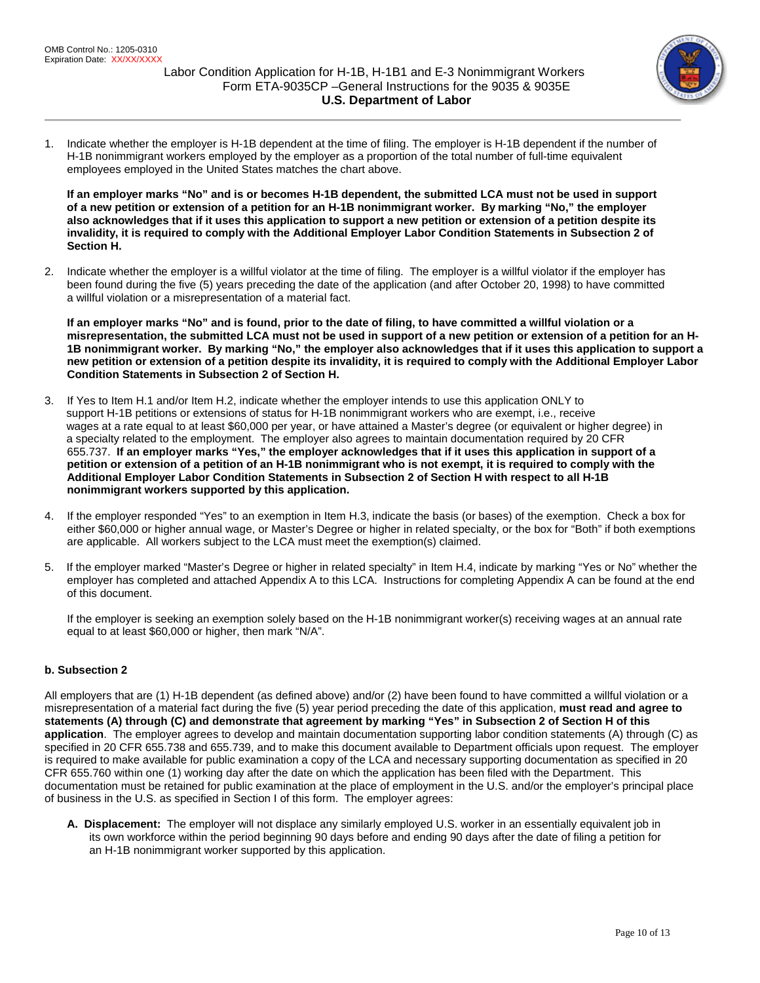

1. Indicate whether the employer is H-1B dependent at the time of filing. The employer is H-1B dependent if the number of H-1B nonimmigrant workers employed by the employer as a proportion of the total number of full-time equivalent employees employed in the United States matches the chart above.

**If an employer marks "No" and is or becomes H-1B dependent, the submitted LCA must not be used in support of a new petition or extension of a petition for an H-1B nonimmigrant worker. By marking "No," the employer also acknowledges that if it uses this application to support a new petition or extension of a petition despite its invalidity, it is required to comply with the Additional Employer Labor Condition Statements in Subsection 2 of Section H.**

2. Indicate whether the employer is a willful violator at the time of filing. The employer is a willful violator if the employer has been found during the five (5) years preceding the date of the application (and after October 20, 1998) to have committed a willful violation or a misrepresentation of a material fact.

**If an employer marks "No" and is found, prior to the date of filing, to have committed a willful violation or a misrepresentation, the submitted LCA must not be used in support of a new petition or extension of a petition for an H-1B nonimmigrant worker. By marking "No," the employer also acknowledges that if it uses this application to support a new petition or extension of a petition despite its invalidity, it is required to comply with the Additional Employer Labor Condition Statements in Subsection 2 of Section H.**

- 3. If Yes to Item H.1 and/or Item H.2, indicate whether the employer intends to use this application ONLY to support H-1B petitions or extensions of status for H-1B nonimmigrant workers who are exempt, i.e., receive wages at a rate equal to at least \$60,000 per year, or have attained a Master's degree (or equivalent or higher degree) in a specialty related to the employment. The employer also agrees to maintain documentation required by 20 CFR 655.737. **If an employer marks "Yes," the employer acknowledges that if it uses this application in support of a petition or extension of a petition of an H-1B nonimmigrant who is not exempt, it is required to comply with the Additional Employer Labor Condition Statements in Subsection 2 of Section H with respect to all H-1B nonimmigrant workers supported by this application.**
- 4. If the employer responded "Yes" to an exemption in Item H.3, indicate the basis (or bases) of the exemption. Check a box for either \$60,000 or higher annual wage, or Master's Degree or higher in related specialty, or the box for "Both" if both exemptions are applicable. All workers subject to the LCA must meet the exemption(s) claimed.
- 5. If the employer marked "Master's Degree or higher in related specialty" in Item H.4, indicate by marking "Yes or No" whether the employer has completed and attached Appendix A to this LCA. Instructions for completing Appendix A can be found at the end of this document.

If the employer is seeking an exemption solely based on the H-1B nonimmigrant worker(s) receiving wages at an annual rate equal to at least \$60,000 or higher, then mark "N/A".

# **b. Subsection 2**

All employers that are (1) H-1B dependent (as defined above) and/or (2) have been found to have committed a willful violation or a misrepresentation of a material fact during the five (5) year period preceding the date of this application, **must read and agree to statements (A) through (C) and demonstrate that agreement by marking "Yes" in Subsection 2 of Section H of this application**. The employer agrees to develop and maintain documentation supporting labor condition statements (A) through (C) as specified in 20 CFR 655.738 and 655.739, and to make this document available to Department officials upon request. The employer is required to make available for public examination a copy of the LCA and necessary supporting documentation as specified in 20 CFR 655.760 within one (1) working day after the date on which the application has been filed with the Department. This documentation must be retained for public examination at the place of employment in the U.S. and/or the employer's principal place of business in the U.S. as specified in Section I of this form. The employer agrees:

**A. Displacement:** The employer will not displace any similarly employed U.S. worker in an essentially equivalent job in its own workforce within the period beginning 90 days before and ending 90 days after the date of filing a petition for an H-1B nonimmigrant worker supported by this application.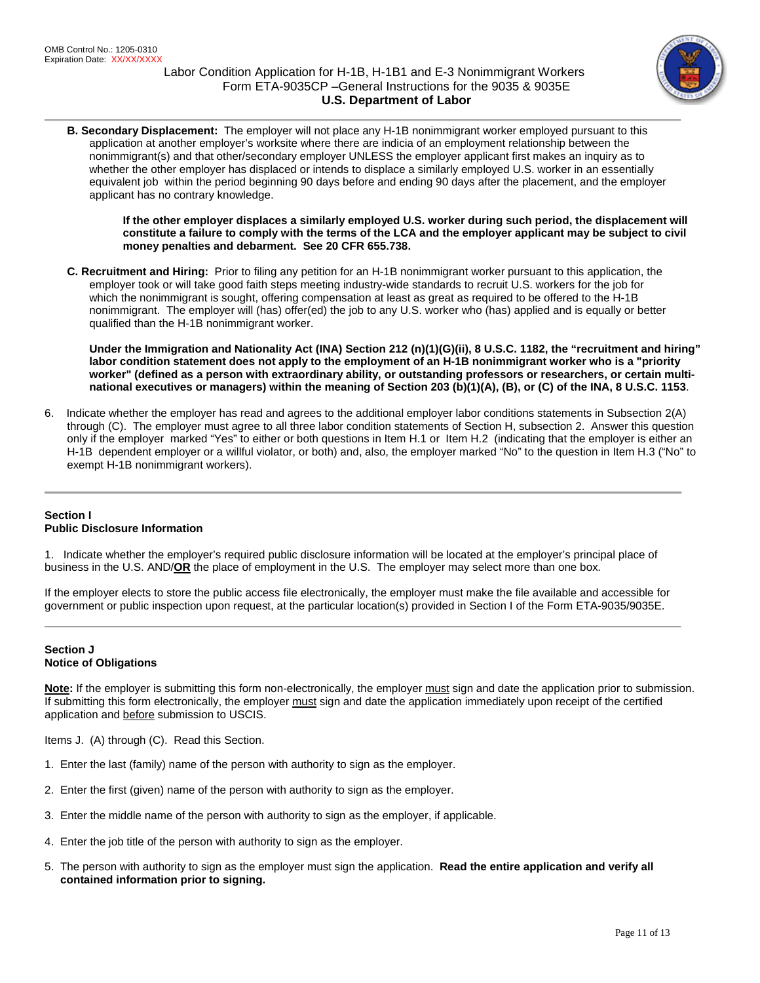

**B. Secondary Displacement:** The employer will not place any H-1B nonimmigrant worker employed pursuant to this application at another employer's worksite where there are indicia of an employment relationship between the nonimmigrant(s) and that other/secondary employer UNLESS the employer applicant first makes an inquiry as to whether the other employer has displaced or intends to displace a similarly employed U.S. worker in an essentially equivalent job within the period beginning 90 days before and ending 90 days after the placement, and the employer applicant has no contrary knowledge.

**If the other employer displaces a similarly employed U.S. worker during such period, the displacement will constitute a failure to comply with the terms of the LCA and the employer applicant may be subject to civil money penalties and debarment. See 20 CFR 655.738.**

**C. Recruitment and Hiring:** Prior to filing any petition for an H-1B nonimmigrant worker pursuant to this application, the employer took or will take good faith steps meeting industry-wide standards to recruit U.S. workers for the job for which the nonimmigrant is sought, offering compensation at least as great as required to be offered to the H-1B nonimmigrant. The employer will (has) offer(ed) the job to any U.S. worker who (has) applied and is equally or better qualified than the H-1B nonimmigrant worker.

**Under the Immigration and Nationality Act (INA) Section 212 (n)(1)(G)(ii), 8 U.S.C. 1182, the "recruitment and hiring" labor condition statement does not apply to the employment of an H-1B nonimmigrant worker who is a "priority worker" (defined as a person with extraordinary ability, or outstanding professors or researchers, or certain multinational executives or managers) within the meaning of Section 203 (b)(1)(A), (B), or (C) of the INA, 8 U.S.C. 1153**.

6. Indicate whether the employer has read and agrees to the additional employer labor conditions statements in Subsection 2(A) through (C). The employer must agree to all three labor condition statements of Section H, subsection 2. Answer this question only if the employer marked "Yes" to either or both questions in Item H.1 or Item H.2 (indicating that the employer is either an H-1B dependent employer or a willful violator, or both) and, also, the employer marked "No" to the question in Item H.3 ("No" to exempt H-1B nonimmigrant workers).

# **Section I Public Disclosure Information**

1. Indicate whether the employer's required public disclosure information will be located at the employer's principal place of business in the U.S. AND/**OR** the place of employment in the U.S. The employer may select more than one box.

If the employer elects to store the public access file electronically, the employer must make the file available and accessible for government or public inspection upon request, at the particular location(s) provided in Section I of the Form ETA-9035/9035E.

## **Section J Notice of Obligations**

**Note:** If the employer is submitting this form non-electronically, the employer must sign and date the application prior to submission. If submitting this form electronically, the employer must sign and date the application immediately upon receipt of the certified application and before submission to USCIS.

Items J. (A) through (C). Read this Section.

- 1. Enter the last (family) name of the person with authority to sign as the employer.
- 2. Enter the first (given) name of the person with authority to sign as the employer.
- 3. Enter the middle name of the person with authority to sign as the employer, if applicable.
- 4. Enter the job title of the person with authority to sign as the employer.
- 5. The person with authority to sign as the employer must sign the application. **Read the entire application and verify all contained information prior to signing.**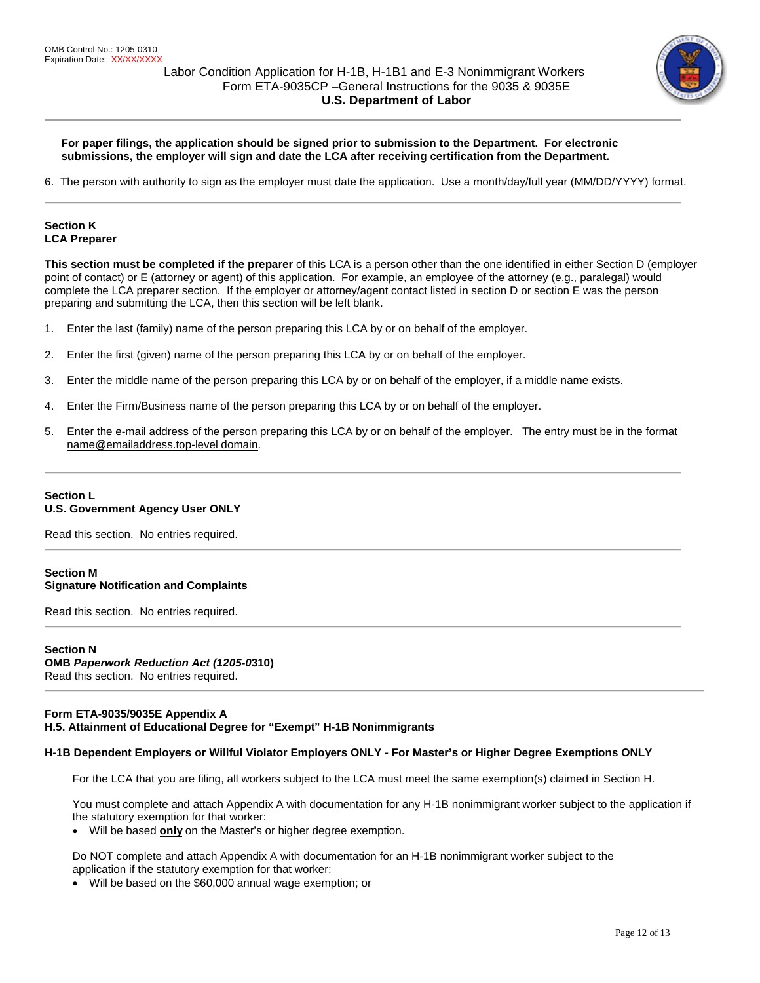

## **For paper filings, the application should be signed prior to submission to the Department. For electronic submissions, the employer will sign and date the LCA after receiving certification from the Department.**

6. The person with authority to sign as the employer must date the application. Use a month/day/full year (MM/DD/YYYY) format.

## **Section K LCA Preparer**

**This section must be completed if the preparer** of this LCA is a person other than the one identified in either Section D (employer point of contact) or E (attorney or agent) of this application. For example, an employee of the attorney (e.g., paralegal) would complete the LCA preparer section. If the employer or attorney/agent contact listed in section D or section E was the person preparing and submitting the LCA, then this section will be left blank.

- 1. Enter the last (family) name of the person preparing this LCA by or on behalf of the employer.
- 2. Enter the first (given) name of the person preparing this LCA by or on behalf of the employer.
- 3. Enter the middle name of the person preparing this LCA by or on behalf of the employer, if a middle name exists.
- 4. Enter the Firm/Business name of the person preparing this LCA by or on behalf of the employer.
- 5. Enter the e-mail address of the person preparing this LCA by or on behalf of the employer. The entry must be in the format [name@emailaddress.top-level](mailto:name@emailaddress.top-level) domain.

## **Section L U.S. Government Agency User ONLY**

Read this section. No entries required.

## **Section M Signature Notification and Complaints**

Read this section. No entries required.

### **Section N OMB** *Paperwork Reduction Act (1205-0***310)**  Read this section. No entries required.

## **Form ETA-9035/9035E Appendix A H.5. Attainment of Educational Degree for "Exempt" H-1B Nonimmigrants**

## **H-1B Dependent Employers or Willful Violator Employers ONLY - For Master's or Higher Degree Exemptions ONLY**

For the LCA that you are filing, all workers subject to the LCA must meet the same exemption(s) claimed in Section H.

You must complete and attach Appendix A with documentation for any H-1B nonimmigrant worker subject to the application if the statutory exemption for that worker:

• Will be based **only** on the Master's or higher degree exemption.

Do NOT complete and attach Appendix A with documentation for an H-1B nonimmigrant worker subject to the application if the statutory exemption for that worker:

• Will be based on the \$60,000 annual wage exemption; or